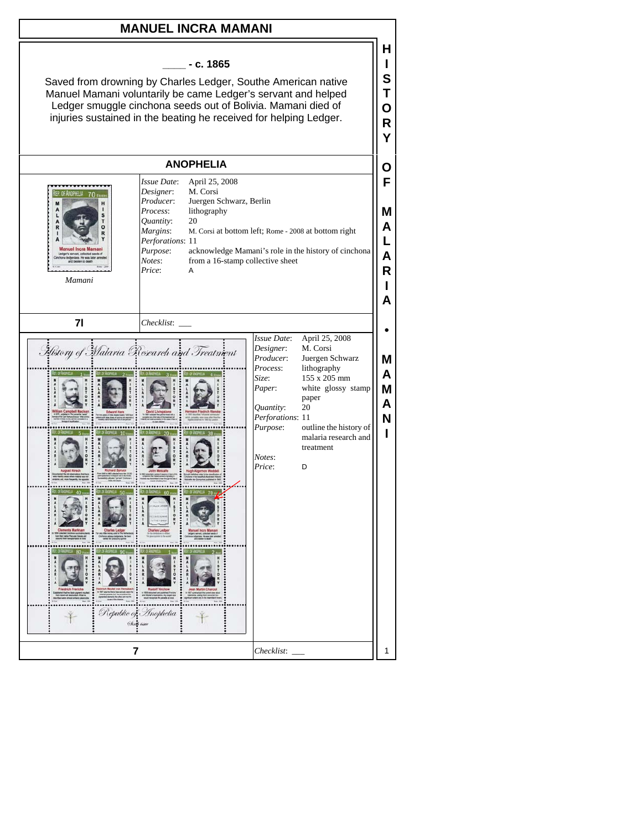## **MANUEL INCRA MAMANI**



**H I S T O**

Saved from drowning by Charles Ledger, Southe American native Manuel Mamani voluntarily be came Ledger's servant and helped Ledger smuggle cinchona seeds out of Bolivia. Mamani died of injuries sustained in the beating he received for helping Ledger.